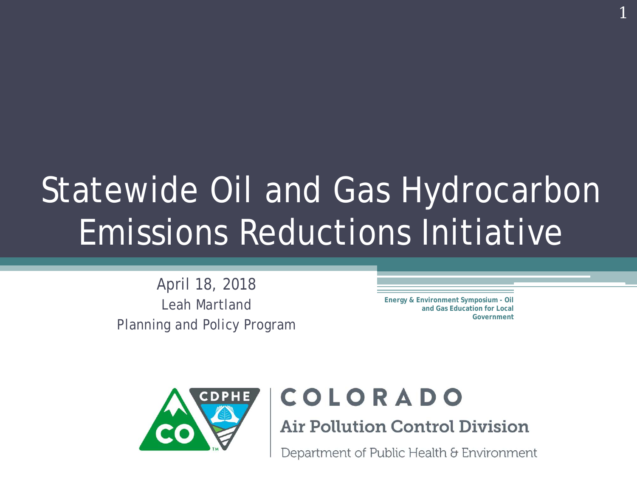#### Statewide Oil and Gas Hydrocarbon Emissions Reductions Initiative

April 18, 2018 Leah Martland Planning and Policy Program

**Energy & Environment Symposium - Oil and Gas Education for Local Government** 1



#### COLORADO

**Air Pollution Control Division** 

Department of Public Health & Environment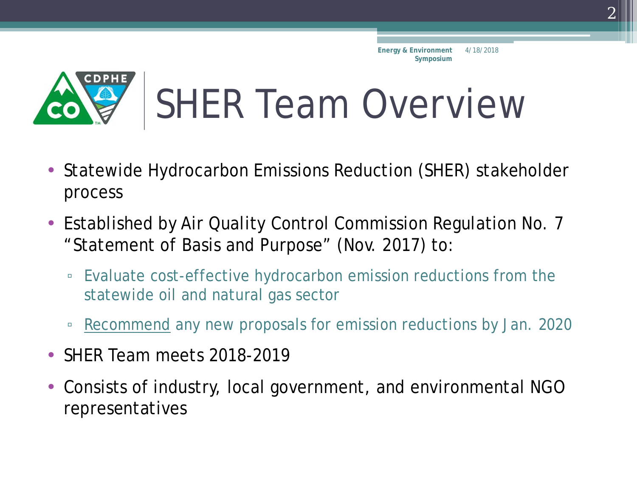

## SHER Team Overview

- Statewide Hydrocarbon Emissions Reduction (SHER) stakeholder process
- Established by Air Quality Control Commission Regulation No. 7 "Statement of Basis and Purpose" (Nov. 2017) to:
	- Evaluate cost-effective hydrocarbon emission reductions from the statewide oil and natural gas sector
	- Recommend any new proposals for emission reductions by Jan. 2020
- SHER Team meets 2018-2019
- Consists of industry, local government, and environmental NGO representatives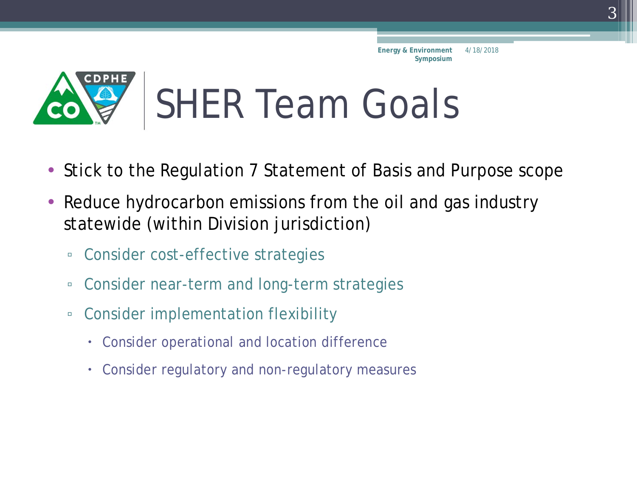

### SHER Team Goals

- Stick to the Regulation 7 Statement of Basis and Purpose scope
- Reduce hydrocarbon emissions from the oil and gas industry statewide (within Division jurisdiction)
	- Consider cost-effective strategies
	- Consider near-term and long-term strategies
	- Consider implementation flexibility
		- Consider operational and location difference
		- Consider regulatory and non-regulatory measures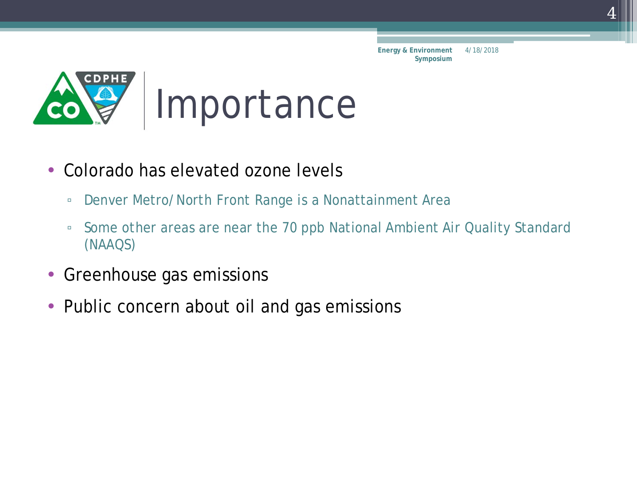

- Colorado has elevated ozone levels
	- Denver Metro/North Front Range is a Nonattainment Area
	- Some other areas are near the 70 ppb National Ambient Air Quality Standard (NAAQS)
- Greenhouse gas emissions
- Public concern about oil and gas emissions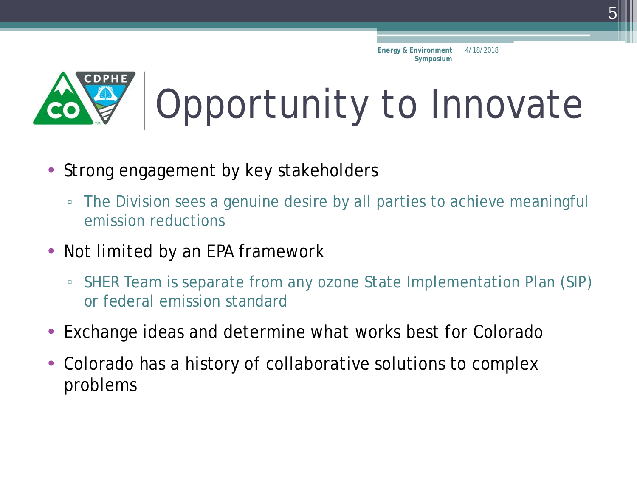

# Opportunity to Innovate

- Strong engagement by key stakeholders
	- The Division sees a genuine desire by all parties to achieve meaningful emission reductions
- Not limited by an EPA framework
	- SHER Team is separate from any ozone State Implementation Plan (SIP) or federal emission standard
- Exchange ideas and determine what works best for Colorado
- Colorado has a history of collaborative solutions to complex problems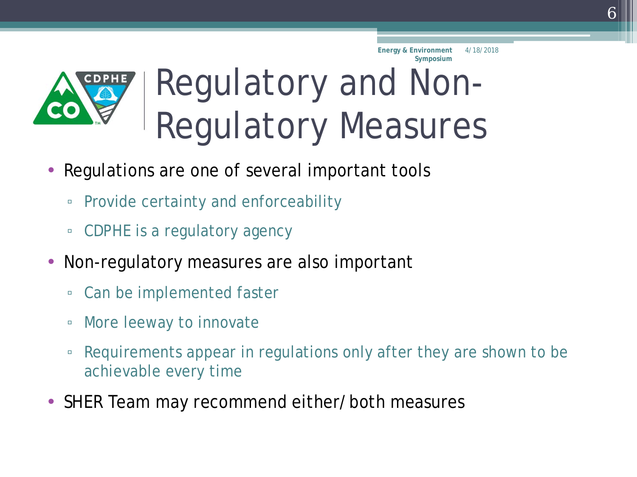

### Regulatory and Non-Regulatory Measures

- Regulations are one of several important tools
	- Provide certainty and enforceability
	- CDPHE is a regulatory agency
- Non-regulatory measures are also important
	- Can be implemented faster
	- More leeway to innovate
	- Requirements appear in regulations only after they are shown to be achievable every time
- SHER Team may recommend either/both measures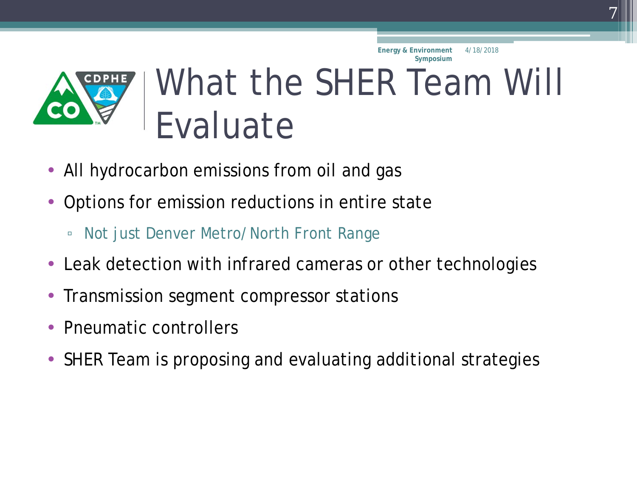

### What the SHER Team Will Evaluate

- All hydrocarbon emissions from oil and gas
- Options for emission reductions in entire state
	- Not just Denver Metro/North Front Range
- Leak detection with infrared cameras or other technologies
- Transmission segment compressor stations
- Pneumatic controllers
- SHER Team is proposing and evaluating additional strategies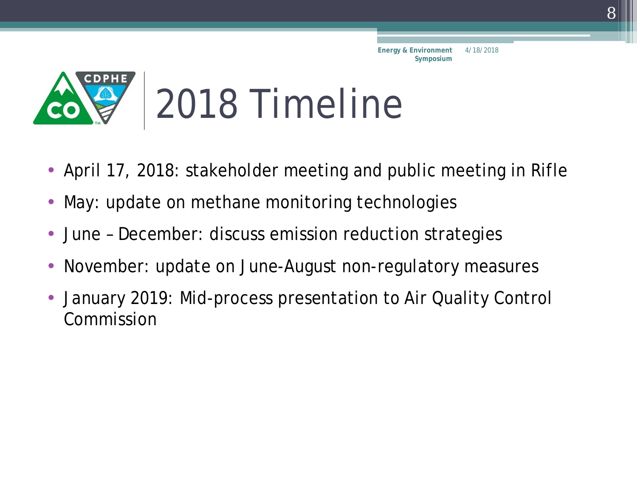

- April 17, 2018: stakeholder meeting and public meeting in Rifle
- May: update on methane monitoring technologies
- June December: discuss emission reduction strategies
- November: update on June-August non-regulatory measures
- January 2019: Mid-process presentation to Air Quality Control Commission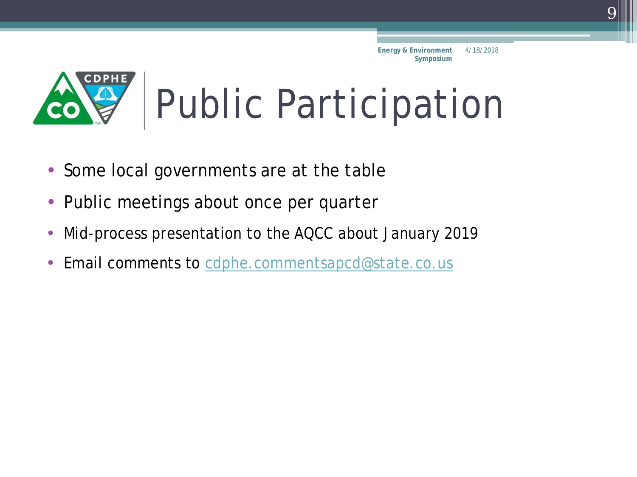

- Some local governments are at the table
- Public meetings about once per quarter
- Mid-process presentation to the AQCC about January 2019
- Email comments to [cdphe.commentsapcd@state.co.us](mailto:cdphe.commentsapcd@state.co.us)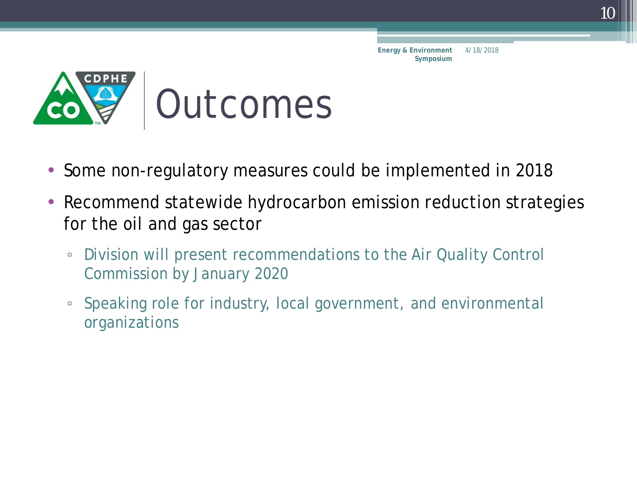

- Some non-regulatory measures could be implemented in 2018
- Recommend statewide hydrocarbon emission reduction strategies for the oil and gas sector
	- Division will present recommendations to the Air Quality Control Commission by January 2020
	- Speaking role for industry, local government, and environmental organizations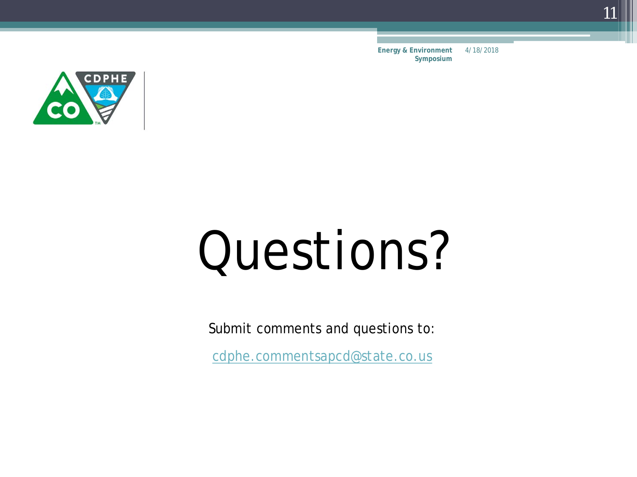

# Questions?

Submit comments and questions to:

[cdphe.commentsapcd@state.co.us](mailto:cdphe.commentsapcd@state.co.us)